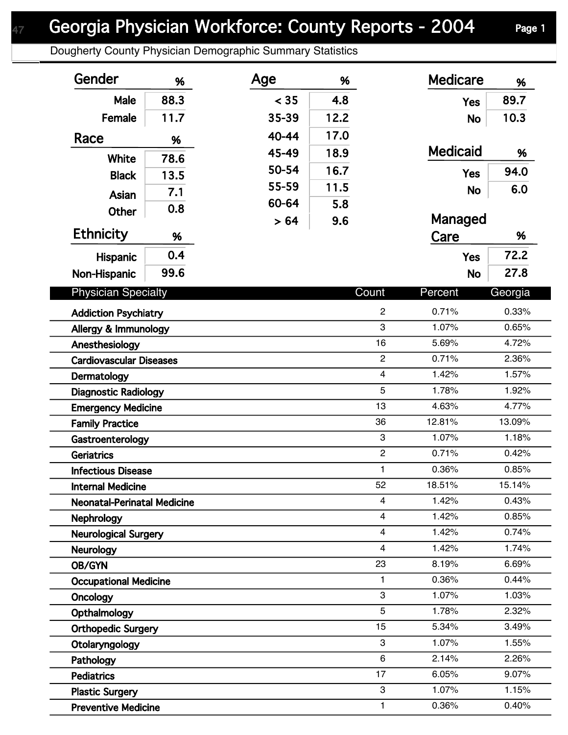## Georgia Physician Workforce: County Reports - 2004 Page 1

Dougherty County Physician Demographic Summary Statistics

| Gender                             | %    | Age   | %    |                         | <b>Medicare</b> | %       |  |
|------------------------------------|------|-------|------|-------------------------|-----------------|---------|--|
| Male                               | 88.3 | < 35  | 4.8  |                         | <b>Yes</b>      | 89.7    |  |
| Female                             | 11.7 | 35-39 | 12.2 |                         | <b>No</b>       | 10.3    |  |
| Race                               | %    | 40-44 | 17.0 |                         |                 |         |  |
|                                    |      | 45-49 | 18.9 |                         | <b>Medicaid</b> | %       |  |
| White                              | 78.6 | 50-54 | 16.7 |                         | <b>Yes</b>      | 94.0    |  |
| <b>Black</b>                       | 13.5 | 55-59 | 11.5 |                         |                 | 6.0     |  |
| Asian                              | 7.1  | 60-64 | 5.8  |                         | <b>No</b>       |         |  |
| <b>Other</b>                       | 0.8  | > 64  | 9.6  |                         | Managed         |         |  |
| <b>Ethnicity</b>                   | %    |       |      |                         | Care            | %       |  |
|                                    | 0.4  |       |      |                         | <b>Yes</b>      | 72.2    |  |
| Hispanic                           | 99.6 |       |      |                         |                 | 27.8    |  |
| Non-Hispanic                       |      |       |      |                         | <b>No</b>       |         |  |
| <b>Physician Specialty</b>         |      |       |      | Count                   | Percent         | Georgia |  |
| <b>Addiction Psychiatry</b>        |      |       |      | $\overline{c}$          | 0.71%           | 0.33%   |  |
| Allergy & Immunology               |      |       |      | 3                       | 1.07%           | 0.65%   |  |
| Anesthesiology                     |      |       |      | 16                      | 5.69%           | 4.72%   |  |
| <b>Cardiovascular Diseases</b>     |      |       |      | $\overline{c}$          | 0.71%           | 2.36%   |  |
| Dermatology                        |      |       |      | $\overline{\mathbf{4}}$ | 1.42%           | 1.57%   |  |
| <b>Diagnostic Radiology</b>        |      |       |      | 5                       | 1.78%           | 1.92%   |  |
| <b>Emergency Medicine</b>          |      |       |      | 13                      | 4.63%           | 4.77%   |  |
| <b>Family Practice</b>             |      |       |      | 36                      | 12.81%          | 13.09%  |  |
| Gastroenterology                   |      |       |      | 3                       | 1.07%           | 1.18%   |  |
| <b>Geriatrics</b>                  |      |       |      | $\overline{c}$          | 0.71%           | 0.42%   |  |
| <b>Infectious Disease</b>          |      |       |      | 1                       | 0.36%           | 0.85%   |  |
| <b>Internal Medicine</b>           |      |       |      | 52                      | 18.51%          | 15.14%  |  |
| <b>Neonatal-Perinatal Medicine</b> |      |       |      | $\overline{\mathbf{4}}$ | 1.42%           | 0.43%   |  |
| Nephrology                         |      |       |      | 4                       | 1.42%           | 0.85%   |  |
| <b>Neurological Surgery</b>        |      |       |      | $\overline{\mathbf{4}}$ | 1.42%           | 0.74%   |  |
| <b>Neurology</b>                   |      |       |      | $\overline{\mathbf{4}}$ | 1.42%           | 1.74%   |  |
| OB/GYN                             |      |       |      | 23                      | 8.19%           | 6.69%   |  |
| <b>Occupational Medicine</b>       |      |       |      | 1                       | 0.36%           | 0.44%   |  |
| Oncology                           |      |       |      | 3                       | 1.07%           | 1.03%   |  |
| Opthalmology                       |      |       |      | 5                       | 1.78%           | 2.32%   |  |
| <b>Orthopedic Surgery</b>          |      |       |      | 15                      | 5.34%           | 3.49%   |  |
| Otolaryngology                     |      |       |      | 3                       | 1.07%           | 1.55%   |  |
| Pathology                          |      |       |      | 6                       | 2.14%           | 2.26%   |  |
| <b>Pediatrics</b>                  |      |       |      | 17                      | 6.05%           | 9.07%   |  |
| <b>Plastic Surgery</b>             |      |       |      | 3                       | 1.07%           | 1.15%   |  |
| <b>Preventive Medicine</b>         |      |       |      | $\mathbf{1}$            | 0.36%           | 0.40%   |  |